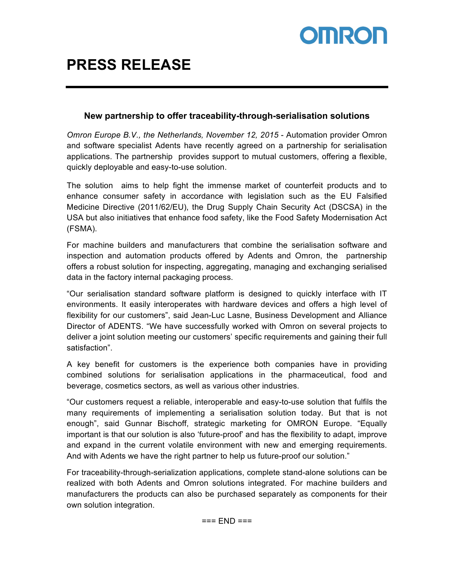

### **New partnership to offer traceability-through-serialisation solutions**

*Omron Europe B.V., the Netherlands, November 12, 2015* - Automation provider Omron and software specialist Adents have recently agreed on a partnership for serialisation applications. The partnership provides support to mutual customers, offering a flexible, quickly deployable and easy-to-use solution.

The solution aims to help fight the immense market of counterfeit products and to enhance consumer safety in accordance with legislation such as the EU Falsified Medicine Directive (2011/62/EU), the Drug Supply Chain Security Act (DSCSA) in the USA but also initiatives that enhance food safety, like the Food Safety Modernisation Act (FSMA).

For machine builders and manufacturers that combine the serialisation software and inspection and automation products offered by Adents and Omron, the partnership offers a robust solution for inspecting, aggregating, managing and exchanging serialised data in the factory internal packaging process.

"Our serialisation standard software platform is designed to quickly interface with IT environments. It easily interoperates with hardware devices and offers a high level of flexibility for our customers", said Jean-Luc Lasne, Business Development and Alliance Director of ADENTS. "We have successfully worked with Omron on several projects to deliver a joint solution meeting our customers' specific requirements and gaining their full satisfaction".

A key benefit for customers is the experience both companies have in providing combined solutions for serialisation applications in the pharmaceutical, food and beverage, cosmetics sectors, as well as various other industries.

"Our customers request a reliable, interoperable and easy-to-use solution that fulfils the many requirements of implementing a serialisation solution today. But that is not enough", said Gunnar Bischoff, strategic marketing for OMRON Europe. "Equally important is that our solution is also 'future-proof' and has the flexibility to adapt, improve and expand in the current volatile environment with new and emerging requirements. And with Adents we have the right partner to help us future-proof our solution."

For traceability-through-serialization applications, complete stand-alone solutions can be realized with both Adents and Omron solutions integrated. For machine builders and manufacturers the products can also be purchased separately as components for their own solution integration.